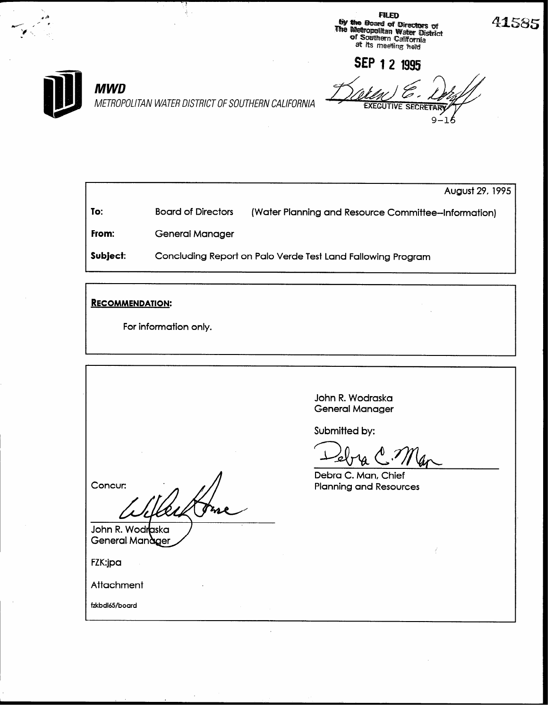**FILED by the Board of Directors of**<br>The Methopolitan Water District<br>of Southern California<br>at its meeting held



## **MWD**

SEP 1 2 1995 Q

METROPOLITAN WATER DISTRICT OF SOUTHERN CALIFORNIA

August 29, 1995 (Water Planning and Resource Committee-Information) To: **Board of Directors** From: **General Manager** Subject: Concluding Report on Palo Verde Test Land Fallowing Program

**RECOMMENDATION:** 

For information only.

John R. Wodraska **General Manager** 

Submitted by:

Debra C. Man, Chief **Planning and Resources** 

Concur:

John R. Wodraska General Manager

FZK:jpa

Attachment

fzkbdl65/board

41585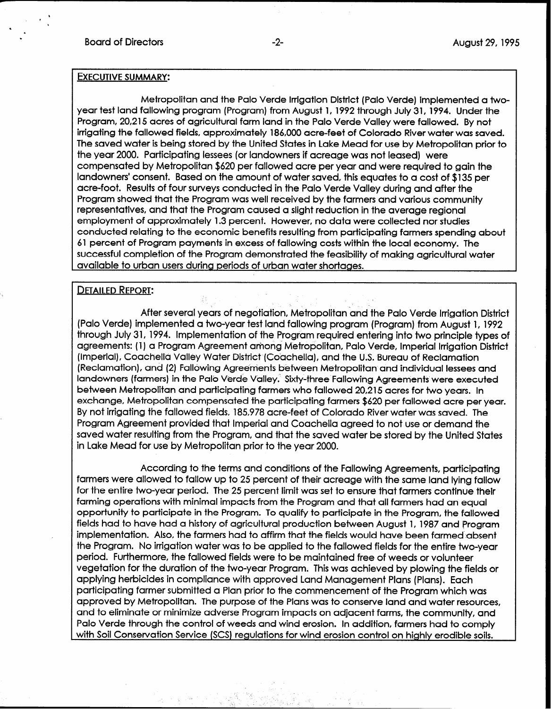## EXECUTIVE SUMMARY:

Metropolitan and the Palo Verde Irrigation District (Palo Verde) implemented a twoyear test land fallowing program (Program) from August 1, 1992 through July 31, 1994. Under the Program, 20,215 acres of agricultural farm land in the Palo Verde Valley were fallowed. By not irrigating the fallowed fields, approximately 186,000 acre-feet of Colorado River water was saved. The saved water is being stored by the United States in Lake Mead for use by Metropolitan prior to the year 2000. Participating lessees (or landowners if acreage was not leased) were compensated by Metropolitan \$620 per fallowed acre per year and were required to gain the landowners' consent. Based on the amount of water saved, this equates to a cost of \$135 per acre-foot. Results of four surveys conducted in the Palo Verde Valley during and after the Program showed that the Program was well received by the farmers and various community representatives, and that the Program caused a slight reduction in the average regional employment of approximately 1.3 percent. However, no data were collected nor studies conducted relating to the economic benefits resulting from participating farmers spending about 61 percent of Program payments in excess of fallowing costs within the local economy. The successful completion of the Program demonstrated the feasibility of making agricultural water available to urban users during periods of urban water shortages.

## **DETAILED REPORT:**

After several years of negotiation, Metropolitan and the Palo Verde Irrigation District (Palo Verde) implemented a two-year test land fallowing program (Program) from August 1, 1992 through July 31, 1994. Implementation of the Program required entering into two principle types of agreements: (1) a Program Agreement among Metropolitan, Palo Verde, Imperial lrrtgation District (Imperial), Coachella Valley Water District (Coachella), and the U.S. Bureau of Reclamation (Reclamation), and (2) Fallowing Agreements between Metropolitan and individual lessees and landowners (farmers) in the Palo Verde Valley. Sixty-three Fallowing Agreements were executed between Metropolitan and participating farmers who fallowed 20,215 acres for two years. In exchange, Metropolitan compensated the participating farmers \$620 per fallowed acre per year. By not irrigating the fallowed fields, 185,978 acre-feet of Colorado River water was saved. The Program Agreement provided that Imperial and Coachella agreed to not use or demand the saved water resulting from the Program, and that the saved water be stored by the United States in Lake Mead for use by Metropolitan prior to the year 2000.

According to the terms and conditions of the Fallowing Agreements, participating farmers were allowed to fallow up to 25 percent of their acreage with the same land lying fallow for the entire two-year period. The 25 percent limit was set to ensure that farmers continue their farming operations with minimal impacts from the Program and that all farmers had an equal opportunity to participate in the Program. To qualify to participate in the Program, the fallowed fields had to have had a history of agricultural production between August 1, 1987 and Program implementation. Also, the farmers had to affirm that the fields would have been farmed absent the Program. No irrigation water was to be applied to the fallowed fields for the entire two-year period. Furthermore, the fallowed fields were to be maintained free of weeds or volunteer vegetation for the duration of the two-year Program. This was achieved by plowing the fields or applying herbicides in compliance with approved Land Management Plans (Plans). Each participating farmer submitted a Plan prior to the commencement of the Program which was approved by Metropolitan. The purpose of the Plans was to conserve land and water resources, and to eliminate or minimize adverse Program impacts on adjacent farms, the community, and Palo Verde through the control of weeds and wind erosion. In addition, farmers had to comply with Soil Conservation Service (SCS) regulations for wind erosion control on highly erodible soils.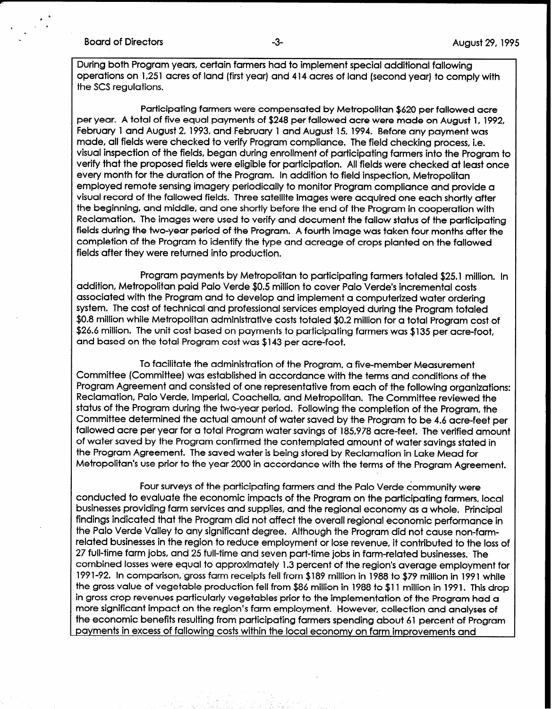## Board of Directors **-3-** August 29, 1995

During both Program years, certain farmers had to implement special additional fallowing operations on 1,251 acres of land (first year) and 414 acres of land (second year) to comply with the SCS regulations.

Participating farmers were compensated by Metropolitan \$620 per fallowed acre per year. A total of five equal payments of \$248 per fallowed acre were made on August 1, 1992, February 1 and August 2,1993, and February 1 and August 15, 1994. Before any payment was made, all fields were checked to verify Program compliance. The field checking process, i.e. visual inspection of the fields, began during enrollment of participating farmers into the Program to verify that the proposed fields were eligible for participation. All fields were checked at least once every month for the duration of the Program. In addition to field inspection, Metropolitan employed remote sensing imagery periodically to monitor Program compliance and provide a visual record of the fallowed fields. Three satellite images were acquired one each shortly after the beginning, and middle, and one shortly before the end of the Program in cooperation with Reclamation. The images were used to verify and document the fallow status of the participating fields during the two-year period of the Program. A fourth image was taken four months after the completion of the Program to identify the type and acreage of crops planted on the fallowed fields after they were returned into production.

Program payments by Metropolitan to participating farmers totaled \$25.1 million. In addition, Metropolitan paid Palo Verde \$0.5 million to cover Palo Verde's incremental costs associated with the Program and to develop and implement a computerized water ordering system. The cost of technical and professional services employed during the Program totaled \$0.8 million while Metropolitan administrative costs totaled \$0.2 million for a total Program cost of \$26.6 million. The unit cost based on payments to participating farmers was \$135 per acre-foot, and based on the total Program cost was \$143 per acre-foot.

To facilitate the administration of the Program, a five-member Measurement Committee (Committee) was established in accordance with the terms and conditions of the Program Agreement and consisted of one representative from each of the following organizations: Reclamation, Palo Verde, Imperial, Coachella, and Metropolitan. The Committee reviewed the status of the Program during the two-year period. Following the completion of the Program, the Committee determined the actual amount of water saved by the Program to be 4.6 acre-feet per fallowed acre per year for a total Program water savings of 185,978 acre-feet. The verified amount of water saved by the Program confirmed the contemplated amount of water savings stated in the Program Agreement. The saved water is being stored by Reclamation in Lake Mead for Metropolitan's use prior to the year 2000 in accordance with the terms of the Program Agreement.

Four surveys of the participating farmers and the Palo Verde community were conducted to evaluate the economic impacts of the Program on the participating farmers, local businesses providing farm services and suppjies, and the regional economy as a whole. Principal findings indicated that the Program did not affect the overall regional economic performance in the Palo Verde Valley to any significant degree. Although the Program did not cause non-farmrelated businesses in the region to reduce employment or lose revenue, it contributed to the loss of 27 full-time farm jobs, and 25 full-time and seven part-time jobs in farm-related businesses. The combined losses were equal to approximately 1.3 percent of the region's average employment for 199 l-92. In comparison, gross farm receipts fell from \$189 million in 1988 to \$79 million in 1991 while the gross value of vegetable production fell from \$86 million in 1988 to \$11 million in 1991. This drop in gross crop revenues particularly vegetables prior to the implementation of the Program had a more significant impact on the region's farm employment. However, collection and analyses of the economic benefits resulting from participating farmers spending about 61 percent of Program payments in excess of fallowing costs within the local economy on farm improvements and